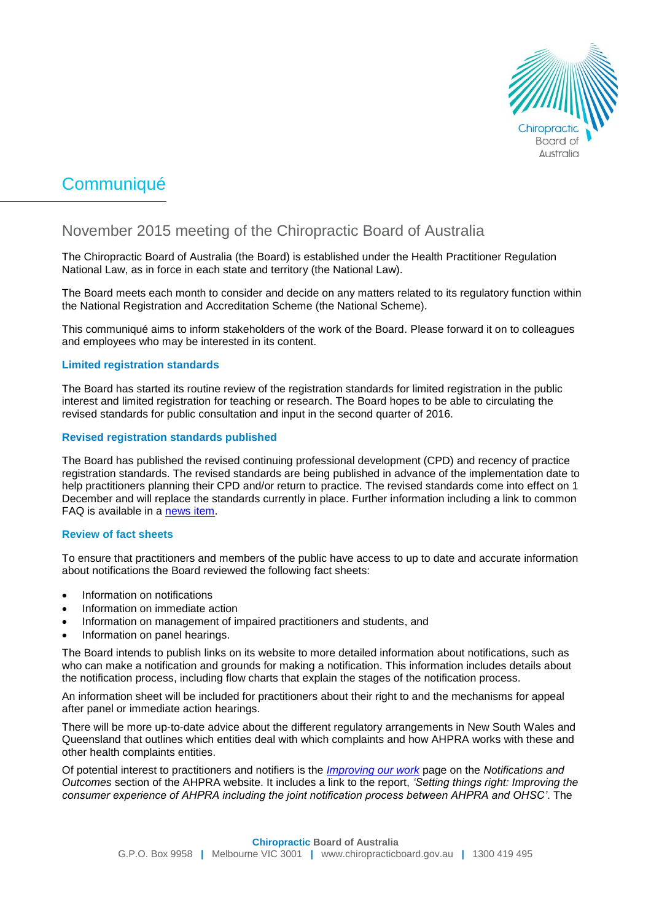

# Communiqué

# November 2015 meeting of the Chiropractic Board of Australia

The Chiropractic Board of Australia (the Board) is established under the Health Practitioner Regulation National Law, as in force in each state and territory (the National Law).

The Board meets each month to consider and decide on any matters related to its regulatory function within the National Registration and Accreditation Scheme (the National Scheme).

This communiqué aims to inform stakeholders of the work of the Board. Please forward it on to colleagues and employees who may be interested in its content.

#### **Limited registration standards**

The Board has started its routine review of the registration standards for limited registration in the public interest and limited registration for teaching or research. The Board hopes to be able to circulating the revised standards for public consultation and input in the second quarter of 2016.

#### **Revised registration standards published**

The Board has published the revised continuing professional development (CPD) and recency of practice registration standards. The revised standards are being published in advance of the implementation date to help practitioners planning their CPD and/or return to practice. The revised standards come into effect on 1 December and will replace the standards currently in place. Further information including a link to common FAQ is available in a [news item.](http://www.chiropracticboard.gov.au/News/2015-10-30-registration-standards.aspx)

#### **Review of fact sheets**

To ensure that practitioners and members of the public have access to up to date and accurate information about notifications the Board reviewed the following fact sheets:

- Information on notifications
- Information on immediate action
- Information on management of impaired practitioners and students, and
- Information on panel hearings.

The Board intends to publish links on its website to more detailed information about notifications, such as who can make a notification and grounds for making a notification. This information includes details about the notification process, including flow charts that explain the stages of the notification process.

An information sheet will be included for practitioners about their right to and the mechanisms for appeal after panel or immediate action hearings.

There will be more up-to-date advice about the different regulatory arrangements in New South Wales and Queensland that outlines which entities deal with which complaints and how AHPRA works with these and other health complaints entities.

Of potential interest to practitioners and notifiers is the *[Improving our work](http://www.ahpra.gov.au/Notifications/The-notifications-process/Improving-our-work.aspx)* page on the *Notifications and Outcomes* section of the AHPRA website. It includes a link to the report, *'Setting things right: Improving the consumer experience of AHPRA including the joint notification process between AHPRA and OHSC'*. The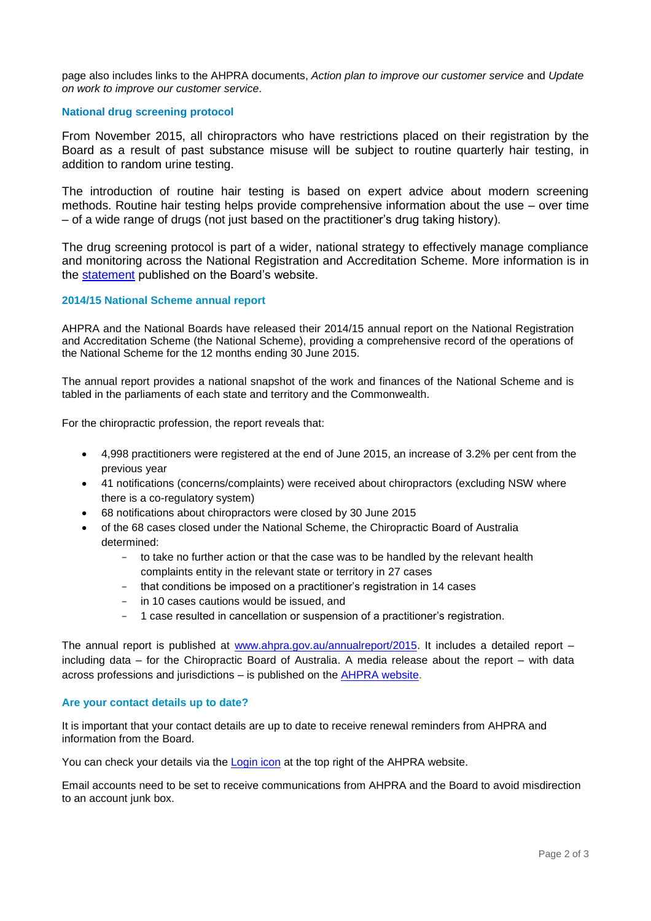page also includes links to the AHPRA documents, *Action plan to improve our customer service* and *Update on work to improve our customer service*.

#### **National drug screening protocol**

From November 2015, all chiropractors who have restrictions placed on their registration by the Board as a result of past substance misuse will be subject to routine quarterly hair testing, in addition to random urine testing.

The introduction of routine hair testing is based on expert advice about modern screening methods. Routine hair testing helps provide comprehensive information about the use – over time – of a wide range of drugs (not just based on the practitioner's drug taking history).

The drug screening protocol is part of a wider, national strategy to effectively manage compliance and monitoring across the National Registration and Accreditation Scheme. More information is in the [statement](http://www.chiropracticboard.gov.au/News/2015-11-18-nat-drug-screening-protocol.aspx) published on the Board's website.

#### **2014/15 National Scheme annual report**

AHPRA and the National Boards have released their 2014/15 annual report on the National Registration and Accreditation Scheme (the National Scheme), providing a comprehensive record of the operations of the National Scheme for the 12 months ending 30 June 2015.

The annual report provides a national snapshot of the work and finances of the National Scheme and is tabled in the parliaments of each state and territory and the Commonwealth.

For the chiropractic profession, the report reveals that:

- 4,998 practitioners were registered at the end of June 2015, an increase of 3.2% per cent from the previous year
- 41 notifications (concerns/complaints) were received about chiropractors (excluding NSW where there is a co-regulatory system)
- 68 notifications about chiropractors were closed by 30 June 2015
- of the 68 cases closed under the National Scheme, the Chiropractic Board of Australia determined:
	- to take no further action or that the case was to be handled by the relevant health complaints entity in the relevant state or territory in 27 cases
	- that conditions be imposed on a practitioner's registration in 14 cases
	- in 10 cases cautions would be issued, and
	- 1 case resulted in cancellation or suspension of a practitioner's registration.

The annual report is published at [www.ahpra.gov.au/annualreport/2015.](http://www.ahpra.gov.au/annualreport/2015) It includes a detailed report – including data – for the Chiropractic Board of Australia. A media release about the report – with data across professions and jurisdictions – is published on the [AHPRA website.](http://www.ahpra.gov.au/News/2015-10-02-annual-report.aspx)

#### **Are your contact details up to date?**

It is important that your contact details are up to date to receive renewal reminders from AHPRA and information from the Board.

You can check your details via the **Login icon** at the top right of the AHPRA website.

Email accounts need to be set to receive communications from AHPRA and the Board to avoid misdirection to an account junk box.